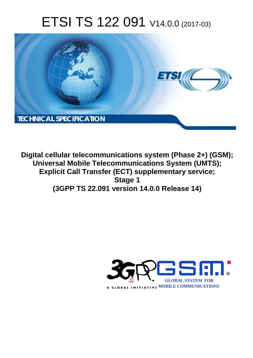# ETSI TS 122 091 V14.0.0 (2017-03)



**Digital cellular telecommunications system (Phase 2+) (GSM); Universal Mobile Telecommunications System (UMTS); Explicit Call Transfer (ECT) supplementary service; Stage 1 (3GPP TS 22.091 version 14.0.0 Release 14)** 

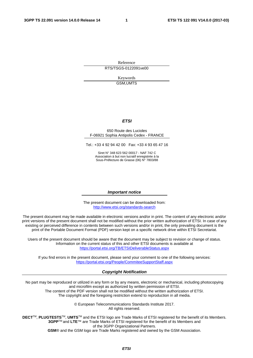Reference RTS/TSGS-0122091ve00

> Keywords GSM,UMTS

#### *ETSI*

#### 650 Route des Lucioles F-06921 Sophia Antipolis Cedex - FRANCE

Tel.: +33 4 92 94 42 00 Fax: +33 4 93 65 47 16

Siret N° 348 623 562 00017 - NAF 742 C Association à but non lucratif enregistrée à la Sous-Préfecture de Grasse (06) N° 7803/88

#### *Important notice*

The present document can be downloaded from: <http://www.etsi.org/standards-search>

The present document may be made available in electronic versions and/or in print. The content of any electronic and/or print versions of the present document shall not be modified without the prior written authorization of ETSI. In case of any existing or perceived difference in contents between such versions and/or in print, the only prevailing document is the print of the Portable Document Format (PDF) version kept on a specific network drive within ETSI Secretariat.

Users of the present document should be aware that the document may be subject to revision or change of status. Information on the current status of this and other ETSI documents is available at <https://portal.etsi.org/TB/ETSIDeliverableStatus.aspx>

If you find errors in the present document, please send your comment to one of the following services: <https://portal.etsi.org/People/CommiteeSupportStaff.aspx>

#### *Copyright Notification*

No part may be reproduced or utilized in any form or by any means, electronic or mechanical, including photocopying and microfilm except as authorized by written permission of ETSI.

The content of the PDF version shall not be modified without the written authorization of ETSI. The copyright and the foregoing restriction extend to reproduction in all media.

> © European Telecommunications Standards Institute 2017. All rights reserved.

**DECT**TM, **PLUGTESTS**TM, **UMTS**TM and the ETSI logo are Trade Marks of ETSI registered for the benefit of its Members. **3GPP**TM and **LTE**™ are Trade Marks of ETSI registered for the benefit of its Members and of the 3GPP Organizational Partners.

**GSM**® and the GSM logo are Trade Marks registered and owned by the GSM Association.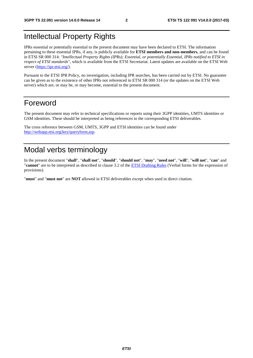### Intellectual Property Rights

IPRs essential or potentially essential to the present document may have been declared to ETSI. The information pertaining to these essential IPRs, if any, is publicly available for **ETSI members and non-members**, and can be found in ETSI SR 000 314: *"Intellectual Property Rights (IPRs); Essential, or potentially Essential, IPRs notified to ETSI in respect of ETSI standards"*, which is available from the ETSI Secretariat. Latest updates are available on the ETSI Web server ([https://ipr.etsi.org/\)](https://ipr.etsi.org/).

Pursuant to the ETSI IPR Policy, no investigation, including IPR searches, has been carried out by ETSI. No guarantee can be given as to the existence of other IPRs not referenced in ETSI SR 000 314 (or the updates on the ETSI Web server) which are, or may be, or may become, essential to the present document.

#### Foreword

The present document may refer to technical specifications or reports using their 3GPP identities, UMTS identities or GSM identities. These should be interpreted as being references to the corresponding ETSI deliverables.

The cross reference between GSM, UMTS, 3GPP and ETSI identities can be found under [http://webapp.etsi.org/key/queryform.asp.](http://webapp.etsi.org/key/queryform.asp)

### Modal verbs terminology

In the present document "**shall**", "**shall not**", "**should**", "**should not**", "**may**", "**need not**", "**will**", "**will not**", "**can**" and "**cannot**" are to be interpreted as described in clause 3.2 of the [ETSI Drafting Rules](https://portal.etsi.org/Services/editHelp!/Howtostart/ETSIDraftingRules.aspx) (Verbal forms for the expression of provisions).

"**must**" and "**must not**" are **NOT** allowed in ETSI deliverables except when used in direct citation.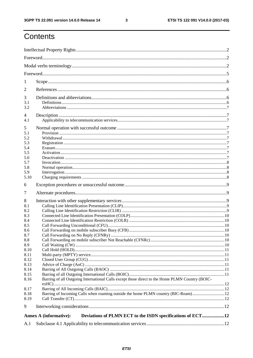$\mathbf{3}$ 

## Contents

| 1            |                                                                                                 |  |  |  |  |  |
|--------------|-------------------------------------------------------------------------------------------------|--|--|--|--|--|
| 2            |                                                                                                 |  |  |  |  |  |
| 3            |                                                                                                 |  |  |  |  |  |
| 3.1<br>3.2   |                                                                                                 |  |  |  |  |  |
|              |                                                                                                 |  |  |  |  |  |
| 4<br>4.1     |                                                                                                 |  |  |  |  |  |
| 5            |                                                                                                 |  |  |  |  |  |
| 5.1          |                                                                                                 |  |  |  |  |  |
| 5.2          |                                                                                                 |  |  |  |  |  |
| 5.3          |                                                                                                 |  |  |  |  |  |
| 5.4          |                                                                                                 |  |  |  |  |  |
| 5.5          |                                                                                                 |  |  |  |  |  |
| 5.6          |                                                                                                 |  |  |  |  |  |
| 5.7<br>5.8   |                                                                                                 |  |  |  |  |  |
| 5.9          |                                                                                                 |  |  |  |  |  |
| 5.10         |                                                                                                 |  |  |  |  |  |
| 6            |                                                                                                 |  |  |  |  |  |
| 7            |                                                                                                 |  |  |  |  |  |
|              |                                                                                                 |  |  |  |  |  |
| 8            |                                                                                                 |  |  |  |  |  |
| 8.1          |                                                                                                 |  |  |  |  |  |
| 8.2<br>8.3   |                                                                                                 |  |  |  |  |  |
| 8.4          |                                                                                                 |  |  |  |  |  |
| 8.5          |                                                                                                 |  |  |  |  |  |
| 8.6          |                                                                                                 |  |  |  |  |  |
| 8.7          |                                                                                                 |  |  |  |  |  |
| 8.8          |                                                                                                 |  |  |  |  |  |
| 8.9          |                                                                                                 |  |  |  |  |  |
| 8.10         |                                                                                                 |  |  |  |  |  |
| 8.11         |                                                                                                 |  |  |  |  |  |
| 8.12         |                                                                                                 |  |  |  |  |  |
| 8.13         |                                                                                                 |  |  |  |  |  |
| 8.14<br>8.15 |                                                                                                 |  |  |  |  |  |
| 8.16         | Barring of all Outgoing International Calls except those direct to the Home PLMN Country (BOIC- |  |  |  |  |  |
| 8.17         |                                                                                                 |  |  |  |  |  |
| 8.18         | Barring of Incoming Calls when roaming outside the home PLMN country (BIC-Roam)12               |  |  |  |  |  |
| 8.19         |                                                                                                 |  |  |  |  |  |
| 9            |                                                                                                 |  |  |  |  |  |
|              | Deviations of PLMN ECT to the ISDN specifications of ECT12<br><b>Annex A (informative):</b>     |  |  |  |  |  |
| A.1          |                                                                                                 |  |  |  |  |  |
|              |                                                                                                 |  |  |  |  |  |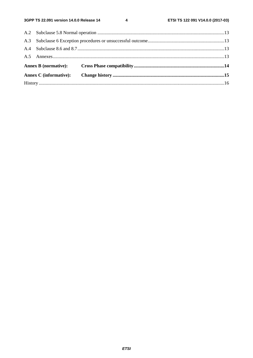$\overline{\mathbf{4}}$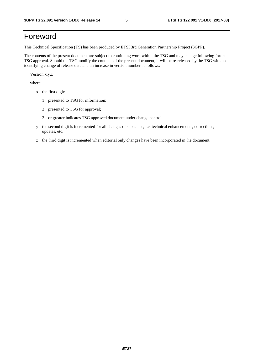### Foreword

This Technical Specification (TS) has been produced by ETSI 3rd Generation Partnership Project (3GPP).

The contents of the present document are subject to continuing work within the TSG and may change following formal TSG approval. Should the TSG modify the contents of the present document, it will be re-released by the TSG with an identifying change of release date and an increase in version number as follows:

Version x.y.z

where:

- x the first digit:
	- 1 presented to TSG for information;
	- 2 presented to TSG for approval;
	- 3 or greater indicates TSG approved document under change control.
- y the second digit is incremented for all changes of substance, i.e. technical enhancements, corrections, updates, etc.
- z the third digit is incremented when editorial only changes have been incorporated in the document.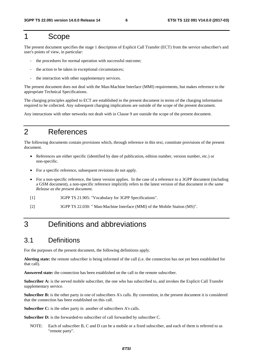#### 1 Scope

The present document specifies the stage 1 description of Explicit Call Transfer (ECT) from the service subscriber's and user's points of view, in particular:

- the procedures for normal operation with successful outcome;
- the action to be taken in exceptional circumstances;
- the interaction with other supplementary services.

The present document does not deal with the Man-Machine Interface (MMI) requirements, but makes reference to the appropriate Technical Specifications.

The charging principles applied to ECT are established in the present document in terms of the charging information required to be collected. Any subsequent charging implications are outside of the scope of the present document.

Any interactions with other networks not dealt with in Clause 9 are outside the scope of the present document.

### 2 References

The following documents contain provisions which, through reference in this text, constitute provisions of the present document.

- References are either specific (identified by date of publication, edition number, version number, etc.) or non-specific.
- For a specific reference, subsequent revisions do not apply.
- For a non-specific reference, the latest version applies. In the case of a reference to a 3GPP document (including a GSM document), a non-specific reference implicitly refers to the latest version of that document *in the same Release as the present document*.
- [1] 3GPP TS 21.905: "Vocabulary for 3GPP Specifications".
- [2] 3GPP TS 22.030: " Man-Machine Interface (MMI) of the Mobile Station (MS)".

### 3 Definitions and abbreviations

#### 3.1 Definitions

For the purposes of the present document, the following definitions apply.

**Alerting state:** the remote subscriber is being informed of the call (i.e. the connection has not yet been established for that call).

**Answered state:** the connection has been established on the call to the remote subscriber.

**Subscriber A:** is the served mobile subscriber, the one who has subscribed to, and invokes the Explicit Call Transfer supplementary service.

**Subscriber B:** is the other party in one of subscribers A's calls. By convention, in the present document it is considered that the connection has been established on this call.

**Subscriber C:** is the other party in another of subscribers A's calls.

**Subscriber D:** is the forwarded-to subscriber of call forwarded by subscriber C.

NOTE: Each of subscriber B, C and D can be a mobile or a fixed subscriber, and each of them is referred to as "remote party".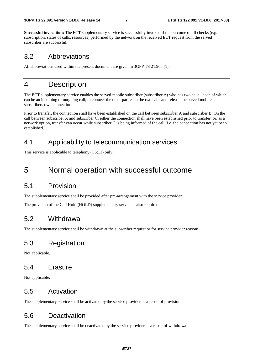**Successful invocation:** The ECT supplementary service is successfully invoked if the outcome of all checks (e.g. subscription, states of calls, resources) performed by the network on the received ECT request from the served subscriber are successful.

#### 3.2 Abbreviations

All abbreviations used within the present document are given in 3GPP TS 21.905 [1].

#### 4 Description

The ECT supplementary service enables the served mobile subscriber (subscriber A) who has two calls , each of which can be an incoming or outgoing call, to connect the other parties in the two calls and release the served mobile subscribers own connection.

Prior to transfer, the connection shall have been established on the call between subscriber A and subscriber B. On the call between subscriber A and subscriber C, either the connection shall have been established prior to transfer, or, as a network option, transfer can occur while subscriber C is being informed of the call (i.e. the connection has not yet been established.)

#### 4.1 Applicability to telecommunication services

This service is applicable to telephony (TS:11) only.

#### 5 Normal operation with successful outcome

#### 5.1 Provision

The supplementary service shall be provided after pre-arrangement with the service provider.

The provision of the Call Hold (HOLD) supplementary service is also required.

#### 5.2 Withdrawal

The supplementary service shall be withdrawn at the subscriber request or for service provider reasons.

#### 5.3 Registration

Not applicable.

#### 5.4 Erasure

Not applicable.

#### 5.5 Activation

The supplementary service shall be activated by the service provider as a result of provision.

#### 5.6 Deactivation

The supplementary service shall be deactivated by the service provider as a result of withdrawal.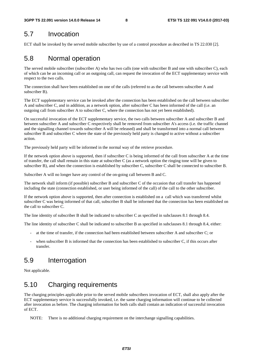#### 5.7 Invocation

ECT shall be invoked by the served mobile subscriber by use of a control procedure as described in TS 22.030 [2].

### 5.8 Normal operation

The served mobile subscriber (subscriber A) who has two calls (one with subscriber B and one with subscriber C), each of which can be an incoming call or an outgoing call, can request the invocation of the ECT supplementary service with respect to the two calls.

The connection shall have been established on one of the calls (referred to as the call between subscriber A and subscriber B).

The ECT supplementary service can be invoked after the connection has been established on the call between subscriber A and subscriber C, and in addition, as a network option, after subscriber C has been informed of the call (i.e. an outgoing call from subscriber A to subscriber C, where the connection has not yet been established).

On successful invocation of the ECT supplementary service, the two calls between subscriber A and subscriber B and between subscriber A and subscriber C respectively shall be removed from subscriber A's access (i.e. the traffic channel and the signalling channel towards subscriber A will be released) and shall be transformed into a normal call between subscriber B and subscriber C where the state of the previously held party is changed to active without a subscriber action.

The previously held party will be informed in the normal way of the retrieve procedure.

If the network option above is supported, then if subscriber C is being informed of the call from subscriber A at the time of transfer, the call shall remain in this state at subscriber C (as a network option the ringing tone will be given to subscriber B), and when the connection is established by subscriber C, subscriber C shall be connected to subscriber B.

Subscriber A will no longer have any control of the on-going call between B and C.

The network shall inform (if possible) subscriber B and subscriber C of the occasion that call transfer has happened including the state (connection established, or user being informed of the call) of the call to the other subscriber.

If the network option above is supported, then after connection is established on a call which was transferred whilst subscriber C was being informed of that call, subscriber B shall be informed that the connection has been established on the call to subscriber C.

The line identity of subscriber B shall be indicated to subscriber C as specified in subclauses 8.1 through 8.4.

The line identity of subscriber C shall be indicated to subscriber B as specified in subclauses 8.1 through 8.4, either:

- at the time of transfer, if the connection had been established between subscriber A and subscriber C; or
- when subscriber B is informed that the connection has been established to subscriber C, if this occurs after transfer.

#### 5.9 Interrogation

Not applicable.

### 5.10 Charging requirements

The charging principles applicable prior to the served mobile subscribers invocation of ECT, shall also apply after the ECT supplementary service is successfully invoked, i.e. the same charging information will continue to be collected after invocation as before. The charging information for both calls shall contain an indication of successful invocation of ECT.

NOTE: There is no additional charging requirement on the interchange signalling capabilities.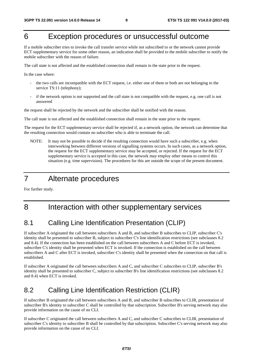### 6 Exception procedures or unsuccessful outcome

If a mobile subscriber tries to invoke the call transfer service while not subscribed to or the network cannot provide ECT supplementary service for some other reason, an indication shall be provided to the mobile subscriber to notify the mobile subscriber with the reason of failure.

The call state is not affected and the established connection shall remain in the state prior to the request.

In the case where:

- the two calls are incompatible with the ECT request, i.e. either one of them or both are not belonging to the service TS:11 (telephony);
- if the network option is not supported and the call state is not compatible with the request, e.g. one call is not answered

the request shall be rejected by the network and the subscriber shall be notified with the reason.

The call state is not affected and the established connection shall remain in the state prior to the request.

The request for the ECT supplementary service shall be rejected if, as a network option, the network can determine that the resulting connection would contain no subscriber who is able to terminate the call.

NOTE: It may not be possible to decide if the resulting connection would have such a subscriber, e.g. when interworking between different versions of signalling systems occurs. In such cases, as a network option, the request for the ECT supplementary service may be accepted, or rejected. If the request for the ECT supplementary service is accepted in this case, the network may employ other means to control this situation (e.g. time supervision). The procedures for this are outside the scope of the present document.

#### 7 Alternate procedures

For further study.

### 8 Interaction with other supplementary services

#### 8.1 Calling Line Identification Presentation (CLIP)

If subscriber A originated the call between subscribers A and B, and subscriber B subscribes to CLIP, subscriber C's identity shall be presented to subscriber B, subject to subscriber C's line identification restrictions (see subclauses 8.2 and 8.4). If the connection has been established on the call between subscribers A and C before ECT is invoked, subscriber C's identity shall be presented when ECT is invoked. If the connection is established on the call between subscribers A and C after ECT is invoked, subscriber C's identity shall be presented when the connection on that call is established.

If subscriber A originated the call between subscribers A and C, and subscriber C subscribes to CLIP, subscriber B's identity shall be presented to subscriber C, subject to subscriber B's line identification restrictions (see subclauses 8.2 and 8.4) when ECT is invoked.

#### 8.2 Calling Line Identification Restriction (CLIR)

If subscriber B originated the call between subscribers A and B, and subscriber B subscribes to CLIR, presentation of subscriber B's identity to subscriber C shall be controlled by that subscription. Subscriber B's serving network may also provide information on the cause of no CLI.

If subscriber C originated the call between subscribers A and C, and subscriber C subscribes to CLIR, presentation of subscriber C's identity to subscriber B shall be controlled by that subscription. Subscriber C's serving network may also provide information on the cause of no CLI.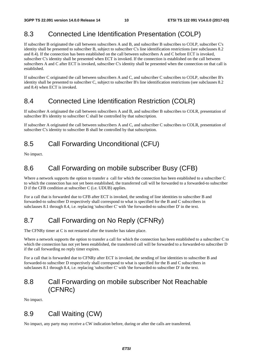### 8.3 Connected Line Identification Presentation (COLP)

If subscriber B originated the call between subscribers A and B, and subscriber B subscribes to COLP, subscriber C's identity shall be presented to subscriber B, subject to subscriber C's line identification restrictions (see subclauses 8.2 and 8.4). If the connection has been established on the call between subscribers A and C before ECT is invoked, subscriber C's identity shall be presented when ECT is invoked. If the connection is established on the call between subscribers A and C after ECT is invoked, subscriber C's identity shall be presented when the connection on that call is established.

If subscriber C originated the call between subscribers A and C, and subscriber C subscribes to COLP, subscriber B's identity shall be presented to subscriber C, subject to subscriber B's line identification restrictions (see subclauses 8.2 and 8.4) when ECT is invoked.

#### 8.4 Connected Line Identification Restriction (COLR)

If subscriber A originated the call between subscribers A and B, and subscriber B subscribes to COLR, presentation of subscriber B's identity to subscriber C shall be controlled by that subscription.

If subscriber A originated the call between subscribers A and C, and subscriber C subscribes to COLR, presentation of subscriber C's identity to subscriber B shall be controlled by that subscription.

#### 8.5 Call Forwarding Unconditional (CFU)

No impact.

#### 8.6 Call Forwarding on mobile subscriber Busy (CFB)

Where a network supports the option to transfer a call for which the connection has been established to a subscriber C to which the connection has not yet been established, the transferred call will be forwarded to a forwarded-to subscriber D if the CFB condition at subscriber C (i.e. UDUB) applies.

For a call that is forwarded due to CFB after ECT is invoked, the sending of line identities to subscriber B and forwarded-to subscriber D respectively shall correspond to what is specified for the B and C subscribers in subclauses 8.1 through 8.4, i.e. replacing 'subscriber C' with 'the forwarded-to subscriber D' in the text.

### 8.7 Call Forwarding on No Reply (CFNRy)

The CFNRy timer at C is not restarted after the transfer has taken place.

Where a network supports the option to transfer a call for which the connection has been established to a subscriber C to which the connection has not yet been established, the transferred call will be forwarded to a forwarded-to subscriber D if the call forwarding no reply timer expires.

For a call that is forwarded due to CFNRy after ECT is invoked, the sending of line identities to subscriber B and forwarded-to subscriber D respectively shall correspond to what is specified for the B and C subscribers in subclauses 8.1 through 8.4, i.e. replacing 'subscriber C' with 'the forwarded-to subscriber D' in the text.

#### 8.8 Call Forwarding on mobile subscriber Not Reachable (CFNRc)

No impact.

#### 8.9 Call Waiting (CW)

No impact, any party may receive a CW indication before, during or after the calls are transferred.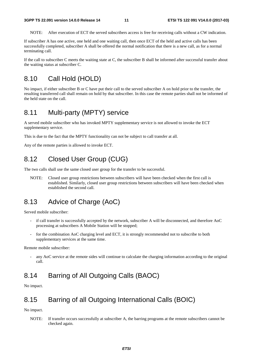NOTE: After execution of ECT the served subscribers access is free for receiving calls without a CW indication.

If subscriber A has one active, one held and one waiting call, then once ECT of the held and active calls has been successfully completed, subscriber A shall be offered the normal notification that there is a new call, as for a normal terminating call.

If the call to subscriber C meets the waiting state at C, the subscriber B shall be informed after successful transfer about the waiting status at subscriber C.

#### 8.10 Call Hold (HOLD)

No impact, if either subscriber B or C have put their call to the served subscriber A on hold prior to the transfer, the resulting transferred call shall remain on hold by that subscriber. In this case the remote parties shall not be informed of the held state on the call.

#### 8.11 Multi-party (MPTY) service

A served mobile subscriber who has invoked MPTY supplementary service is not allowed to invoke the ECT supplementary service.

This is due to the fact that the MPTY functionality can not be subject to call transfer at all.

Any of the remote parties is allowed to invoke ECT.

#### 8.12 Closed User Group (CUG)

The two calls shall use the same closed user group for the transfer to be successful.

NOTE: Closed user group restrictions between subscribers will have been checked when the first call is established. Similarly, closed user group restrictions between subscribers will have been checked when established the second call.

#### 8.13 Advice of Charge (AoC)

Served mobile subscriber:

- if call transfer is successfully accepted by the network, subscriber A will be disconnected, and therefore AoC processing at subscribers A Mobile Station will be stopped;
- for the combination AoC charging level and ECT, it is strongly recommended not to subscribe to both supplementary services at the same time.

Remote mobile subscriber:

any AoC service at the remote sides will continue to calculate the charging information according to the original call.

#### 8.14 Barring of All Outgoing Calls (BAOC)

No impact.

#### 8.15 Barring of all Outgoing International Calls (BOIC)

No impact.

NOTE: If transfer occurs successfully at subscriber A, the barring programs at the remote subscribers cannot be checked again.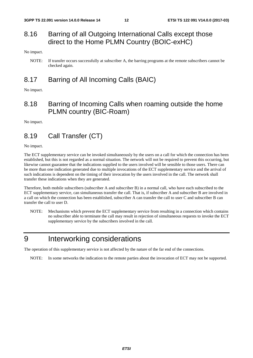#### 8.16 Barring of all Outgoing International Calls except those direct to the Home PLMN Country (BOIC-exHC)

No impact.

#### 8.17 Barring of All Incoming Calls (BAIC)

No impact.

#### 8.18 Barring of Incoming Calls when roaming outside the home PLMN country (BIC-Roam)

No impact.

#### 8.19 Call Transfer (CT)

No impact.

The ECT supplementary service can be invoked simultaneously by the users on a call for which the connection has been established, but this is not regarded as a normal situation. The network will not be required to prevent this occurring, but likewise cannot guarantee that the indications supplied to the users involved will be sensible to those users. There can be more than one indication generated due to multiple invocations of the ECT supplementary service and the arrival of such indications is dependent on the timing of their invocation by the users involved in the call. The network shall transfer these indications when they are generated.

Therefore, both mobile subscribers (subscriber A and subscriber B) in a normal call, who have each subscribed to the ECT supplementary service, can simultaneous transfer the call. That is, if subscriber A and subscriber B are involved in a call on which the connection has been established, subscriber A can transfer the call to user C and subscriber B can transfer the call to user D.

NOTE: Mechanisms which prevent the ECT supplementary service from resulting in a connection which contains no subscriber able to terminate the call may result in rejection of simultaneous requests to invoke the ECT supplementary service by the subscribers involved in the call.

### 9 Interworking considerations

The operation of this supplementary service is not affected by the nature of the far end of the connections.

NOTE: In some networks the indication to the remote parties about the invocation of ECT may not be supported.

NOTE: If transfer occurs successfully at subscriber A, the barring programs at the remote subscribers cannot be checked again.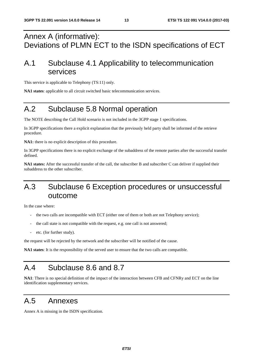### Annex A (informative): Deviations of PLMN ECT to the ISDN specifications of ECT

### A.1 Subclause 4.1 Applicability to telecommunication services

This service is applicable to Telephony (TS:11) only.

**NA1 states**: applicable to all circuit switched basic telecommunication services.

### A.2 Subclause 5.8 Normal operation

The NOTE describing the Call Hold scenario is not included in the 3GPP stage 1 specifications.

In 3GPP specifications there a explicit explanation that the previously held party shall be informed of the retrieve procedure.

**NA1:** there is no explicit description of this procedure.

In 3GPP specifications there is no explicit exchange of the subaddress of the remote parties after the successful transfer defined.

**NA1 states:** After the successful transfer of the call, the subscriber B and subscriber C can deliver if supplied their subaddress to the other subscriber.

### A.3 Subclause 6 Exception procedures or unsuccessful outcome

In the case where:

- the two calls are incompatible with ECT (either one of them or both are not Telephony service);
- the call state is not compatible with the request, e.g. one call is not answered;
- etc. (for further study).

the request will be rejected by the network and the subscriber will be notified of the cause.

**NA1 states**: It is the responsibility of the served user to ensure that the two calls are compatible.

### A.4 Subclause 8.6 and 8.7

**NA1**: There is no special definition of the impact of the interaction between CFB and CFNRy and ECT on the line identification supplementary services.

#### A.5 Annexes

Annex A is missing in the ISDN specification.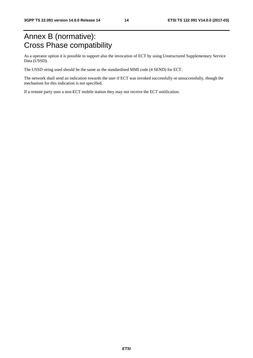## Annex B (normative): Cross Phase compatibility

As a operator option it is possible to support also the invocation of ECT by using Unstructured Supplementary Service Data (USSD).

The USSD string used should be the same as the standardised MMI code (4 SEND) for ECT.

The network shall send an indication towards the user if ECT was invoked successfully or unsuccessfully, though the mechanism for this indication is not specified.

If a remote party uses a non-ECT mobile station they may not receive the ECT notification.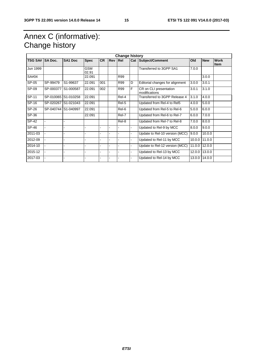## Annex C (informative): Change history

| <b>Change history</b> |                |                     |              |           |            |       |                |                                         |        |            |                            |
|-----------------------|----------------|---------------------|--------------|-----------|------------|-------|----------------|-----------------------------------------|--------|------------|----------------------------|
| <b>TSG SA#</b>        | <b>SA Doc.</b> | <b>SA1 Doc</b>      | <b>Spec</b>  | <b>CR</b> | <b>Rev</b> | Rel   |                | Cat Subject/Comment                     | Old    | <b>New</b> | <b>Work</b><br><b>Item</b> |
| Jun 1999              |                |                     | GSM<br>02.91 |           |            |       |                | Transferred to 3GPP SA1                 | 7.0.0  |            |                            |
| SA#04                 |                |                     | 22.091       |           |            | R99   |                |                                         |        | 3.0.0      |                            |
| SP-05                 | SP-99479       | S1-99637            | 22.091       | 001       |            | R99   | D              | Editorial changes for alignment         | 3.0.0  | 3.0.1      |                            |
| SP-09                 | SP-000377      | S1-000587           | 22.091       | 002       |            | R99   | F              | CR on CLI presentation<br>modifications | 3.0.1  | 3.1.0      |                            |
| SP-11                 | SP-010065      | S1-010258           | 22.091       |           |            | Rel-4 |                | Transferred to 3GPP Release 4           | 3.1.0  | 4.0.0      |                            |
| SP-16                 | SP-020267      | S1-021043           | 22.091       |           |            | Rel-5 |                | Updated from Rel-4 to Rel5              | 4.0.0  | 5.0.0      |                            |
| SP-26                 |                | SP-040744 S1-040997 | 22.091       |           |            | Rel-6 |                | Updated from Rel-5 to Rel-6             | 5.0.0  | 6.0.0      |                            |
| SP-36                 |                |                     | 22.091       |           |            | Rel-7 |                | Updated from Rel-6 to Rel-7             | 6.0.0  | 7.0.0      |                            |
| SP-42                 |                |                     |              |           |            | Rel-8 |                | Updated from Rel-7 to Rel-8             | 7.0.0  | 8.0.0      |                            |
| SP-46                 |                |                     |              |           |            |       | ۰              | Updated to Rel-9 by MCC                 | 8.0.0  | 9.0.0      |                            |
| 2011-03               |                |                     |              |           |            |       | ÷.             | Update to Rel-10 version (MCC)          | 9.0.0  | 10.0.0     |                            |
| 2012-09               |                |                     |              |           |            |       | $\blacksquare$ | Updated to Rel-11 by MCC                | 10.0.0 | 11.0.0     |                            |
| 2014-10               |                |                     |              |           |            |       | ä,             | Update to Rel-12 version (MCC)          | 11.0.0 | 12.0.0     |                            |
| 2015-12               |                |                     |              |           |            |       | ä,             | Updated to Rel-13 by MCC                | 12.0.0 | 13.0.0     |                            |
| 2017-03               |                |                     |              |           |            |       | ä,             | Updated to Rel-14 by MCC                | 13.0.0 | 14.0.0     |                            |